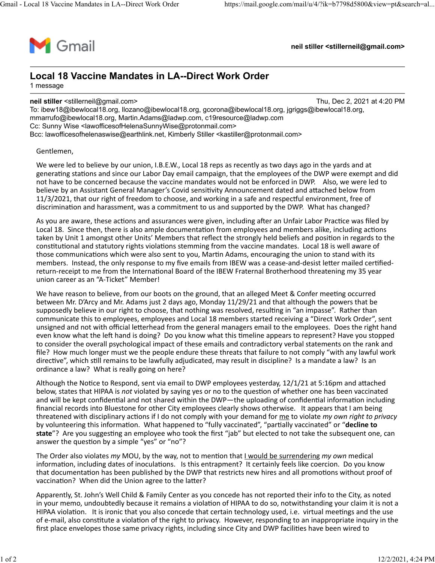

**neil stiller <stillerneil@gmail.com>**

### **Local 18 Vaccine Mandates in LA--Direct Work Order** 1 message

**neil stiller** <stillerneil@gmail.com> Thu, Dec 2, 2021 at 4:20 PM

To: ibew18@ibewlocal18.org, llozano@ibewlocal18.org, gcorona@ibewlocal18.org, jgriggs@ibewlocal18.org, mmarrufo@ibewlocal18.org, Martin.Adams@ladwp.com, c19resource@ladwp.com Cc: Sunny Wise <lawofficesofHelenaSunnyWise@protonmail.com> Bcc: lawofficesofhelenaswise@earthlink.net, Kimberly Stiller <kastiller@protonmail.com>

#### Gentlemen,

We were led to believe by our union, I.B.E.W., Local 18 reps as recently as two days ago in the yards and at generating stations and since our Labor Day email campaign, that the employees of the DWP were exempt and did not have to be concerned because the vaccine mandates would not be enforced in DWP. Also, we were led to believe by an Assistant General Manager's Covid sensitivity Announcement dated and attached below from 11/3/2021, that our right of freedom to choose, and working in a safe and respectful environment, free of discrimination and harassment, was a commitment to us and supported by the DWP. What has changed?

As you are aware, these actions and assurances were given, including after an Unfair Labor Practice was filed by Local 18. Since then, there is also ample documentation from employees and members alike, including actions taken by Unit 1 amongst other Units' Members that reflect the strongly held beliefs and position in regards to the constitutional and statutory rights violations stemming from the vaccine mandates. Local 18 is well aware of those communications which were also sent to you, Martin Adams, encouraging the union to stand with its members. Instead, the only response to my five emails from IBEW was a cease-and-desist letter mailed certifiedreturn-receipt to me from the International Board of the IBEW Fraternal Brotherhood threatening my 35 year union career as an "A-Ticket" Member!

We have reason to believe, from our boots on the ground, that an alleged Meet & Confer meeting occurred between Mr. D'Arcy and Mr. Adams just 2 days ago, Monday 11/29/21 and that although the powers that be supposedly believe in our right to choose, that nothing was resolved, resulting in "an impasse". Rather than communicate this to employees, employees and Local 18 members started receiving a "Direct Work Order", sent unsigned and not with official letterhead from the general managers email to the employees. Does the right hand even know what the left hand is doing? Do you know what this timeline appears to represent? Have you stopped to consider the overall psychological impact of these emails and contradictory verbal statements on the rank and file? How much longer must we the people endure these threats that failure to not comply "with any lawful work directive", which still remains to be lawfully adjudicated, may result in discipline? Is a mandate a law? Is an ordinance a law? What is really going on here?

Although the Notice to Respond, sent via email to DWP employees yesterday, 12/1/21 at 5:16pm and attached below, states that HIPAA is *not* violated by saying yes or no to the ques�on of whether one has been vaccinated and will be kept confidential and not shared within the DWP—the uploading of confidential information including financial records into Bluestone for other City employees clearly shows otherwise. It appears that I am being threatened with disciplinary actions if I do not comply with your demand for me to violate *my own right to privacy* by volunteering this information. What happened to "fully vaccinated", "partially vaccinated" or "decline to state"? Are you suggesting an employee who took the first "jab" but elected to not take the subsequent one, can answer the question by a simple "yes" or "no"?

The Order also violates *my* MOU, by the way, not to mention that I would be surrendering *my own* medical information, including dates of inoculations. Is this entrapment? It certainly feels like coercion. Do you know that documentation has been published by the DWP that restricts new hires and all promotions without proof of vaccination? When did the Union agree to the latter?

Apparently, St. John's Well Child & Family Center as you concede has not reported their info to the City, as noted in your memo, undoubtedly because it remains a violation of HIPAA to do so, notwithstanding your claim it is not a HIPAA violation. It is ironic that you also concede that certain technology used, i.e. virtual meetings and the use of e-mail, also constitute a violation of the right to privacy. However, responding to an inappropriate inquiry in the first place envelopes those same privacy rights, including since City and DWP facilities have been wired to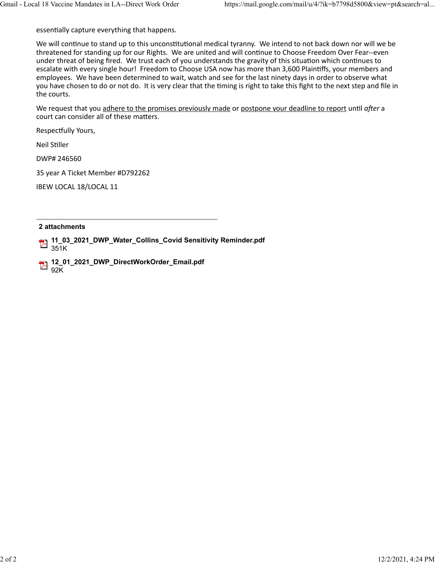essentially capture everything that happens.

We will continue to stand up to this unconstitutional medical tyranny. We intend to not back down nor will we be threatened for standing up for our Rights. We are united and will continue to Choose Freedom Over Fear--even under threat of being fired. We trust each of you understands the gravity of this situation which continues to escalate with every single hour! Freedom to Choose USA now has more than 3,600 Plaintiffs, your members and employees. We have been determined to wait, watch and see for the last ninety days in order to observe what you have chosen to do or not do. It is very clear that the timing is right to take this fight to the next step and file in the courts.

We request that you adhere to the promises previously made or postpone your deadline to report until after a court can consider all of these matters.

Respectfully Yours,

Neil Stiller

DWP# 246560

35 year A Ticket Member #D792262

IBEW LOCAL 18/LOCAL 11

#### **2 attachments**

**11\_03\_2021\_DWP\_Water\_Collins\_Covid Sensitivity Reminder.pdf** 351K

**12\_01\_2021\_DWP\_DirectWorkOrder\_Email.pdf**  $B_{92K}$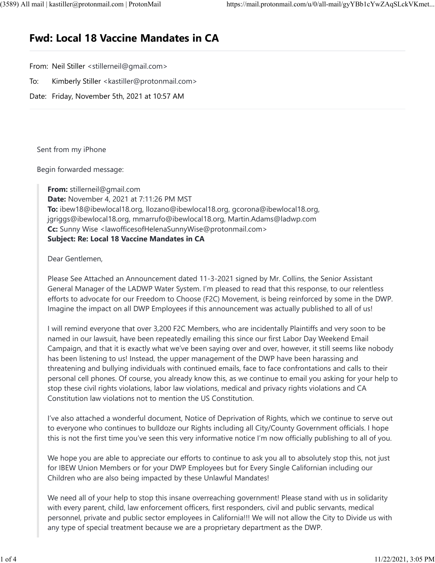# **Fwd: Local 18 Vaccine Mandates in CA**

From: Neil Stiller <stillerneil@gmail.com>

To: Kimberly Stiller <kastiller@protonmail.com>

Date: Friday, November 5th, 2021 at 10:57 AM

Sent from my iPhone

Begin forwarded message:

**From:** stillerneil@gmail.com

**Date:** November 4, 2021 at 7:11:26 PM MST **To:** ibew18@ibewlocal18.org, llozano@ibewlocal18.org, gcorona@ibewlocal18.org, jgriggs@ibewlocal18.org, mmarrufo@ibewlocal18.org, Martin.Adams@ladwp.com **Cc:** Sunny Wise <lawofficesofHelenaSunnyWise@protonmail.com> **Subject: Re: Local 18 Vaccine Mandates in CA**

Dear Gentlemen,

Please See Attached an Announcement dated 11-3-2021 signed by Mr. Collins, the Senior Assistant General Manager of the LADWP Water System. I'm pleased to read that this response, to our relentless efforts to advocate for our Freedom to Choose (F2C) Movement, is being reinforced by some in the DWP. Imagine the impact on all DWP Employees if this announcement was actually published to all of us!

I will remind everyone that over 3,200 F2C Members, who are incidentally Plaintiffs and very soon to be named in our lawsuit, have been repeatedly emailing this since our first Labor Day Weekend Email Campaign, and that it is exactly what we've been saying over and over, however, it still seems like nobody has been listening to us! Instead, the upper management of the DWP have been harassing and threatening and bullying individuals with continued emails, face to face confrontations and calls to their personal cell phones. Of course, you already know this, as we continue to email you asking for your help to stop these civil rights violations, labor law violations, medical and privacy rights violations and CA Constitution law violations not to mention the US Constitution.

I've also attached a wonderful document, Notice of Deprivation of Rights, which we continue to serve out to everyone who continues to bulldoze our Rights including all City/County Government officials. I hope this is not the first time you've seen this very informative notice I'm now officially publishing to all of you.

We hope you are able to appreciate our efforts to continue to ask you all to absolutely stop this, not just for IBEW Union Members or for your DWP Employees but for Every Single Californian including our Children who are also being impacted by these Unlawful Mandates!

We need all of your help to stop this insane overreaching government! Please stand with us in solidarity with every parent, child, law enforcement officers, first responders, civil and public servants, medical personnel, private and public sector employees in California!!! We will not allow the City to Divide us with any type of special treatment because we are a proprietary department as the DWP.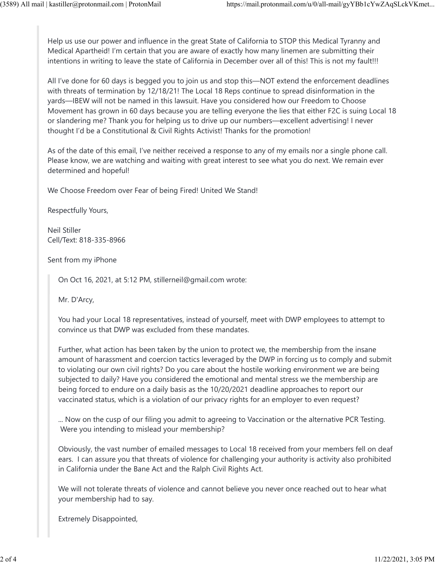Help us use our power and influence in the great State of California to STOP this Medical Tyranny and Medical Apartheid! I'm certain that you are aware of exactly how many linemen are submitting their intentions in writing to leave the state of California in December over all of this! This is not my fault!!!

All I've done for 60 days is begged you to join us and stop this—NOT extend the enforcement deadlines with threats of termination by 12/18/21! The Local 18 Reps continue to spread disinformation in the yards—IBEW will not be named in this lawsuit. Have you considered how our Freedom to Choose Movement has grown in 60 days because you are telling everyone the lies that either F2C is suing Local 18 or slandering me? Thank you for helping us to drive up our numbers—excellent advertising! I never thought I'd be a Constitutional & Civil Rights Activist! Thanks for the promotion!

As of the date of this email, I've neither received a response to any of my emails nor a single phone call. Please know, we are watching and waiting with great interest to see what you do next. We remain ever determined and hopeful!

We Choose Freedom over Fear of being Fired! United We Stand!

Respectfully Yours,

Neil Stiller Cell/Text: 818-335-8966

Sent from my iPhone

On Oct 16, 2021, at 5:12 PM, stillerneil@gmail.com wrote:

Mr. D'Arcy,

You had your Local 18 representatives, instead of yourself, meet with DWP employees to attempt to convince us that DWP was excluded from these mandates.

Further, what action has been taken by the union to protect we, the membership from the insane amount of harassment and coercion tactics leveraged by the DWP in forcing us to comply and submit to violating our own civil rights? Do you care about the hostile working environment we are being subjected to daily? Have you considered the emotional and mental stress we the membership are being forced to endure on a daily basis as the 10/20/2021 deadline approaches to report our vaccinated status, which is a violation of our privacy rights for an employer to even request?

... Now on the cusp of our filing you admit to agreeing to Vaccination or the alternative PCR Testing. Were you intending to mislead your membership?

Obviously, the vast number of emailed messages to Local 18 received from your members fell on deaf ears. I can assure you that threats of violence for challenging your authority is activity also prohibited in California under the Bane Act and the Ralph Civil Rights Act.

We will not tolerate threats of violence and cannot believe you never once reached out to hear what your membership had to say.

Extremely Disappointed,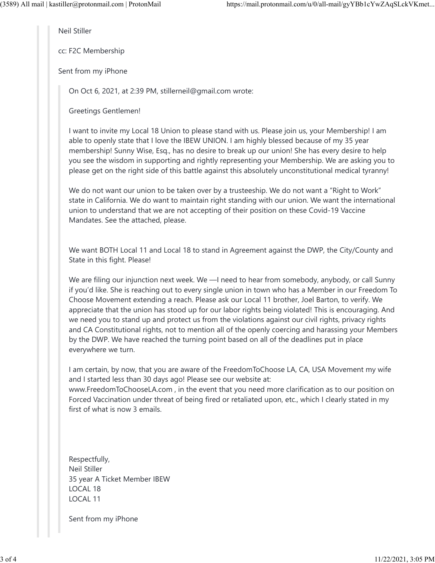Neil Stiller

cc: F2C Membership

Sent from my iPhone

On Oct 6, 2021, at 2:39 PM, stillerneil@gmail.com wrote:

Greetings Gentlemen!

I want to invite my Local 18 Union to please stand with us. Please join us, your Membership! I am able to openly state that I love the IBEW UNION. I am highly blessed because of my 35 year membership! Sunny Wise, Esq., has no desire to break up our union! She has every desire to help you see the wisdom in supporting and rightly representing your Membership. We are asking you to please get on the right side of this battle against this absolutely unconstitutional medical tyranny!

We do not want our union to be taken over by a trusteeship. We do not want a "Right to Work" state in California. We do want to maintain right standing with our union. We want the international union to understand that we are not accepting of their position on these Covid-19 Vaccine Mandates. See the attached, please.

We want BOTH Local 11 and Local 18 to stand in Agreement against the DWP, the City/County and State in this fight. Please!

We are filing our injunction next week. We —I need to hear from somebody, anybody, or call Sunny if you'd like. She is reaching out to every single union in town who has a Member in our Freedom To Choose Movement extending a reach. Please ask our Local 11 brother, Joel Barton, to verify. We appreciate that the union has stood up for our labor rights being violated! This is encouraging. And we need you to stand up and protect us from the violations against our civil rights, privacy rights and CA Constitutional rights, not to mention all of the openly coercing and harassing your Members by the DWP. We have reached the turning point based on all of the deadlines put in place everywhere we turn.

I am certain, by now, that you are aware of the FreedomToChoose LA, CA, USA Movement my wife and I started less than 30 days ago! Please see our website at: www.FreedomToChooseLA.com , in the event that you need more clarification as to our position on Forced Vaccination under threat of being fired or retaliated upon, etc., which I clearly stated in my first of what is now 3 emails.

Respectfully, Neil Stiller 35 year A Ticket Member IBEW LOCAL 18 LOCAL 11

Sent from my iPhone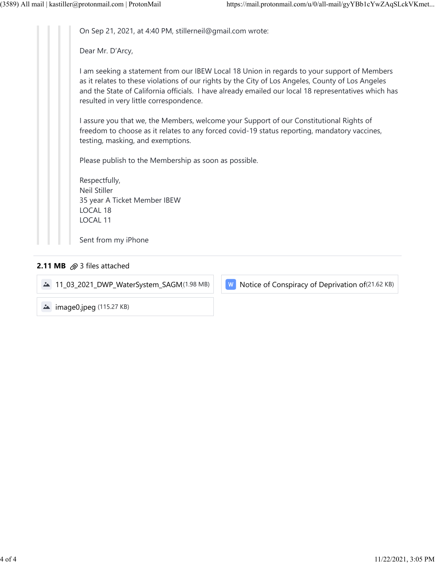On Sep 21, 2021, at 4:40 PM, stillerneil@gmail.com wrote:

Dear Mr. D'Arcy,

I am seeking a statement from our IBEW Local 18 Union in regards to your support of Members as it relates to these violations of our rights by the City of Los Angeles, County of Los Angeles and the State of California officials. I have already emailed our local 18 representatives which has resulted in very little correspondence.

I assure you that we, the Members, welcome your Support of our Constitutional Rights of freedom to choose as it relates to any forced covid-19 status reporting, mandatory vaccines, testing, masking, and exemptions.

Please publish to the Membership as soon as possible.

Respectfully, Neil Stiller 35 year A Ticket Member IBEW LOCAL 18 LOCAL 11

Sent from my iPhone

### **2.11 MB**  $\oslash$  3 files attached

11\_03\_2021\_DWP\_WaterSystem\_SAGM(1.98 MB) | | W Notice of Conspiracy of Deprivation of (21.62 KB)

**image0.jpeg** (115.27 KB)